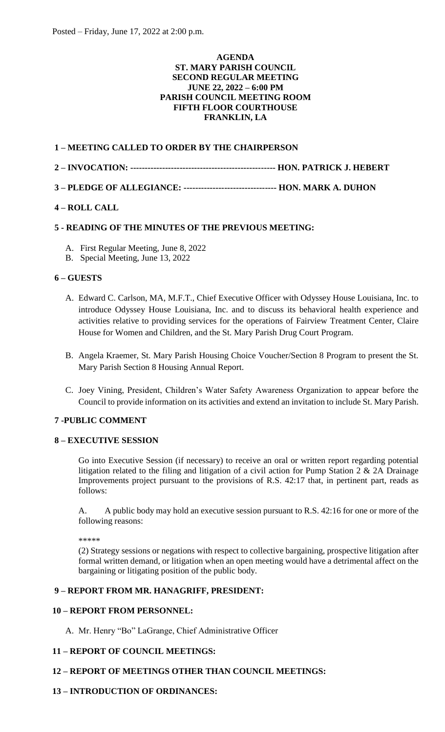## **AGENDA ST. MARY PARISH COUNCIL SECOND REGULAR MEETING JUNE 22, 2022 – 6:00 PM PARISH COUNCIL MEETING ROOM FIFTH FLOOR COURTHOUSE FRANKLIN, LA**

## **1 – MEETING CALLED TO ORDER BY THE CHAIRPERSON**

- **2 – INVOCATION: -------------------------------------------------- HON. PATRICK J. HEBERT**
- **3 – PLEDGE OF ALLEGIANCE: -------------------------------- HON. MARK A. DUHON**

# **4 – ROLL CALL**

## **5 - READING OF THE MINUTES OF THE PREVIOUS MEETING:**

- A. First Regular Meeting, June 8, 2022
- B. Special Meeting, June 13, 2022

## **6 – GUESTS**

- A. Edward C. Carlson, MA, M.F.T., Chief Executive Officer with Odyssey House Louisiana, Inc. to introduce Odyssey House Louisiana, Inc. and to discuss its behavioral health experience and activities relative to providing services for the operations of Fairview Treatment Center, Claire House for Women and Children, and the St. Mary Parish Drug Court Program.
- B. Angela Kraemer, St. Mary Parish Housing Choice Voucher/Section 8 Program to present the St. Mary Parish Section 8 Housing Annual Report.
- C. Joey Vining, President, Children's Water Safety Awareness Organization to appear before the Council to provide information on its activities and extend an invitation to include St. Mary Parish.

## **7 -PUBLIC COMMENT**

## **8 – EXECUTIVE SESSION**

Go into Executive Session (if necessary) to receive an oral or written report regarding potential litigation related to the filing and litigation of a civil action for Pump Station  $2 \& 2A$  Drainage Improvements project pursuant to the provisions of R.S. 42:17 that, in pertinent part, reads as follows:

A. A public body may hold an executive session pursuant to R.S. 42:16 for one or more of the following reasons:

\*\*\*\*\*

(2) Strategy sessions or negations with respect to collective bargaining, prospective litigation after formal written demand, or litigation when an open meeting would have a detrimental affect on the bargaining or litigating position of the public body.

## **9 – REPORT FROM MR. HANAGRIFF, PRESIDENT:**

## **10 – REPORT FROM PERSONNEL:**

A. Mr. Henry "Bo" LaGrange, Chief Administrative Officer

## **11 – REPORT OF COUNCIL MEETINGS:**

## **12 – REPORT OF MEETINGS OTHER THAN COUNCIL MEETINGS:**

## **13 – INTRODUCTION OF ORDINANCES:**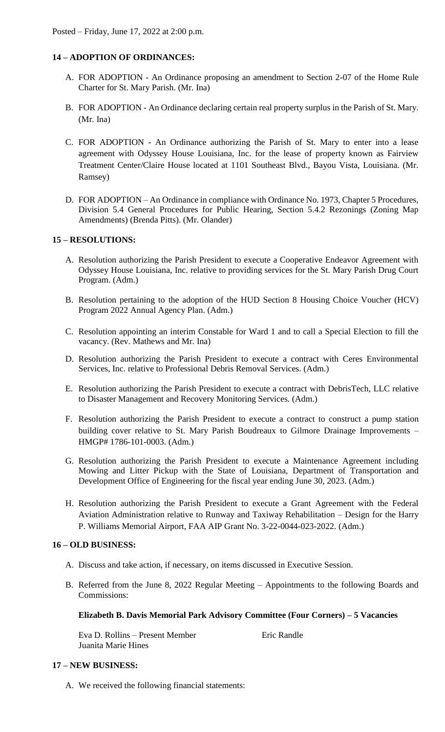# **14 – ADOPTION OF ORDINANCES:**

- A. FOR ADOPTION An Ordinance proposing an amendment to Section 2-07 of the Home Rule Charter for St. Mary Parish. (Mr. Ina)
- B. FOR ADOPTION An Ordinance declaring certain real property surplus in the Parish of St. Mary. (Mr. Ina)
- C. FOR ADOPTION An Ordinance authorizing the Parish of St. Mary to enter into a lease agreement with Odyssey House Louisiana, Inc. for the lease of property known as Fairview Treatment Center/Claire House located at 1101 Southeast Blvd., Bayou Vista, Louisiana. (Mr. Ramsey)
- D. FOR ADOPTION An Ordinance in compliance with Ordinance No. 1973, Chapter 5 Procedures, Division 5.4 General Procedures for Public Hearing, Section 5.4.2 Rezonings (Zoning Map Amendments) (Brenda Pitts). (Mr. Olander)

# **15 – RESOLUTIONS:**

- A. Resolution authorizing the Parish President to execute a Cooperative Endeavor Agreement with Odyssey House Louisiana, Inc. relative to providing services for the St. Mary Parish Drug Court Program. (Adm.)
- B. Resolution pertaining to the adoption of the HUD Section 8 Housing Choice Voucher (HCV) Program 2022 Annual Agency Plan. (Adm.)
- C. Resolution appointing an interim Constable for Ward 1 and to call a Special Election to fill the vacancy. (Rev. Mathews and Mr. Ina)
- D. Resolution authorizing the Parish President to execute a contract with Ceres Environmental Services, Inc. relative to Professional Debris Removal Services. (Adm.)
- E. Resolution authorizing the Parish President to execute a contract with DebrisTech, LLC relative to Disaster Management and Recovery Monitoring Services. (Adm.)
- F. Resolution authorizing the Parish President to execute a contract to construct a pump station building cover relative to St. Mary Parish Boudreaux to Gilmore Drainage Improvements – HMGP# 1786-101-0003. (Adm.)
- G. Resolution authorizing the Parish President to execute a Maintenance Agreement including Mowing and Litter Pickup with the State of Louisiana, Department of Transportation and Development Office of Engineering for the fiscal year ending June 30, 2023. (Adm.)
- H. Resolution authorizing the Parish President to execute a Grant Agreement with the Federal Aviation Administration relative to Runway and Taxiway Rehabilitation – Design for the Harry P. Williams Memorial Airport, FAA AIP Grant No. 3-22-0044-023-2022. (Adm.)

## **16 – OLD BUSINESS:**

- A. Discuss and take action, if necessary, on items discussed in Executive Session.
- B. Referred from the June 8, 2022 Regular Meeting Appointments to the following Boards and Commissions:

## **Elizabeth B. Davis Memorial Park Advisory Committee (Four Corners) – 5 Vacancies**

Eva D. Rollins – Present Member Eric Randle Juanita Marie Hines

## **17 – NEW BUSINESS:**

A. We received the following financial statements: